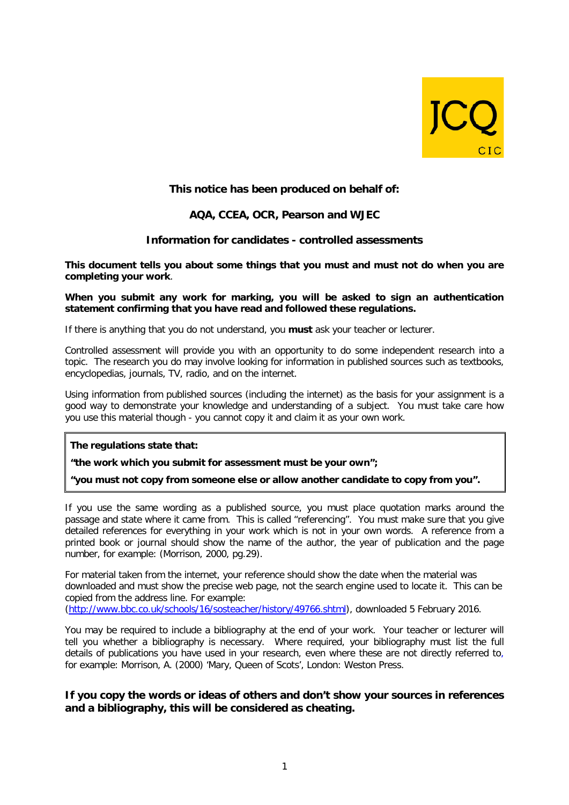

# **This notice has been produced on behalf of:**

## **AQA, CCEA, OCR, Pearson and WJEC**

## **Information for candidates - controlled assessments**

**This document tells you about some things that you must and must not do when you are completing your work**.

#### **When you submit any work for marking, you will be asked to sign an authentication statement confirming that you have read and followed these regulations.**

If there is anything that you do not understand, you **must** ask your teacher or lecturer.

Controlled assessment will provide you with an opportunity to do some independent research into a topic. The research you do may involve looking for information in published sources such as textbooks, encyclopedias, journals, TV, radio, and on the internet.

Using information from published sources (including the internet) as the basis for your assignment is a good way to demonstrate your knowledge and understanding of a subject. You must take care how you use this material though - you cannot copy it and claim it as your own work.

### **The regulations state that:**

**"the work which you submit for assessment must be your own";**

**"you must not copy from someone else or allow another candidate to copy from you".**

If you use the same wording as a published source, you must place quotation marks around the passage and state where it came from. This is called "referencing". You must make sure that you give detailed references for everything in your work which is not in your own words. A reference from a printed book or journal should show the name of the author, the year of publication and the page number, for example: (Morrison, 2000, pg.29).

For material taken from the internet, your reference should show the date when the material was downloaded and must show the precise web page, not the search engine used to locate it. This can be copied from the address line. For example:

[\(http://www.bbc.co.uk/schools/16/sosteacher/history/49766.shtml\)](http://www.bbc.co.uk/schools/16/sosteacher/history/49766.shtml), downloaded 5 February 2016.

You may be required to include a bibliography at the end of your work. Your teacher or lecturer will tell you whether a bibliography is necessary. Where required, your bibliography must list the full details of publications you have used in your research, even where these are not directly referred to, for example: Morrison, A. (2000) 'Mary, Queen of Scots', London: Weston Press.

## **If you copy the words or ideas of others and don't show your sources in references and a bibliography, this will be considered as cheating.**